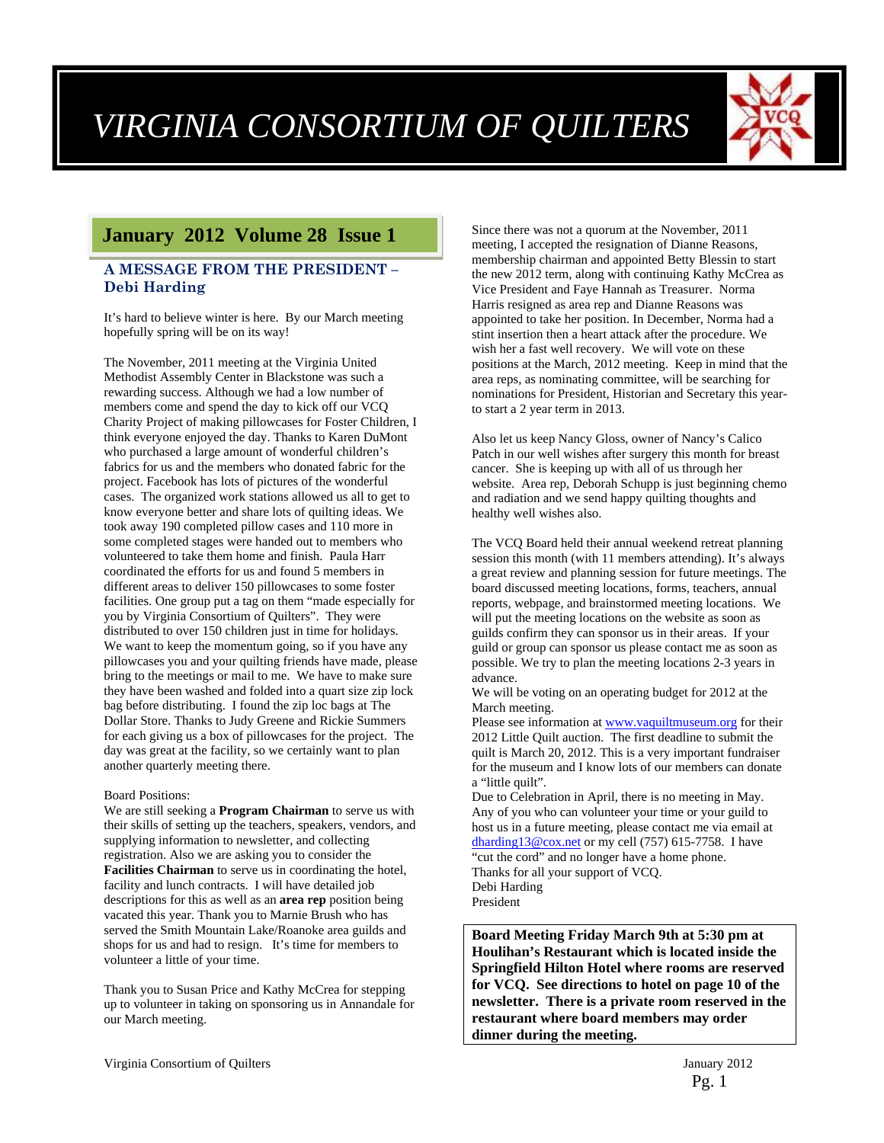# *VIRGINIA CONSORTIUM OF QUILTERS*



## **January 2012 Volume 28 Issue 1**

#### **A MESSAGE FROM THE PRESIDENT – Debi Harding**

It's hard to believe winter is here. By our March meeting hopefully spring will be on its way!

The November, 2011 meeting at the Virginia United Methodist Assembly Center in Blackstone was such a rewarding success. Although we had a low number of members come and spend the day to kick off our VCQ Charity Project of making pillowcases for Foster Children, I think everyone enjoyed the day. Thanks to Karen DuMont who purchased a large amount of wonderful children's fabrics for us and the members who donated fabric for the project. Facebook has lots of pictures of the wonderful cases. The organized work stations allowed us all to get to know everyone better and share lots of quilting ideas. We took away 190 completed pillow cases and 110 more in some completed stages were handed out to members who volunteered to take them home and finish. Paula Harr coordinated the efforts for us and found 5 members in different areas to deliver 150 pillowcases to some foster facilities. One group put a tag on them "made especially for you by Virginia Consortium of Quilters". They were distributed to over 150 children just in time for holidays. We want to keep the momentum going, so if you have any pillowcases you and your quilting friends have made, please bring to the meetings or mail to me. We have to make sure they have been washed and folded into a quart size zip lock bag before distributing. I found the zip loc bags at The Dollar Store. Thanks to Judy Greene and Rickie Summers for each giving us a box of pillowcases for the project. The day was great at the facility, so we certainly want to plan another quarterly meeting there.

#### Board Positions:

We are still seeking a **Program Chairman** to serve us with their skills of setting up the teachers, speakers, vendors, and supplying information to newsletter, and collecting registration. Also we are asking you to consider the **Facilities Chairman** to serve us in coordinating the hotel, facility and lunch contracts. I will have detailed job descriptions for this as well as an **area rep** position being vacated this year. Thank you to Marnie Brush who has served the Smith Mountain Lake/Roanoke area guilds and shops for us and had to resign. It's time for members to volunteer a little of your time.

Thank you to Susan Price and Kathy McCrea for stepping up to volunteer in taking on sponsoring us in Annandale for our March meeting.

Since there was not a quorum at the November, 2011 meeting, I accepted the resignation of Dianne Reasons, membership chairman and appointed Betty Blessin to start the new 2012 term, along with continuing Kathy McCrea as Vice President and Faye Hannah as Treasurer. Norma Harris resigned as area rep and Dianne Reasons was appointed to take her position. In December, Norma had a stint insertion then a heart attack after the procedure. We wish her a fast well recovery. We will vote on these positions at the March, 2012 meeting. Keep in mind that the area reps, as nominating committee, will be searching for nominations for President, Historian and Secretary this yearto start a 2 year term in 2013.

Also let us keep Nancy Gloss, owner of Nancy's Calico Patch in our well wishes after surgery this month for breast cancer. She is keeping up with all of us through her website. Area rep, Deborah Schupp is just beginning chemo and radiation and we send happy quilting thoughts and healthy well wishes also.

The VCQ Board held their annual weekend retreat planning session this month (with 11 members attending). It's always a great review and planning session for future meetings. The board discussed meeting locations, forms, teachers, annual reports, webpage, and brainstormed meeting locations. We will put the meeting locations on the website as soon as guilds confirm they can sponsor us in their areas. If your guild or group can sponsor us please contact me as soon as possible. We try to plan the meeting locations 2-3 years in advance.

We will be voting on an operating budget for 2012 at the March meeting.

Please see information at www.vaquiltmuseum.org for their 2012 Little Quilt auction. The first deadline to submit the quilt is March 20, 2012. This is a very important fundraiser for the museum and I know lots of our members can donate a "little quilt".

Due to Celebration in April, there is no meeting in May. Any of you who can volunteer your time or your guild to host us in a future meeting, please contact me via email at dharding13@cox.net or my cell (757) 615-7758. I have "cut the cord" and no longer have a home phone. Thanks for all your support of VCQ. Debi Harding

President

**Board Meeting Friday March 9th at 5:30 pm at Houlihan's Restaurant which is located inside the Springfield Hilton Hotel where rooms are reserved for VCQ. See directions to hotel on page 10 of the newsletter. There is a private room reserved in the restaurant where board members may order dinner during the meeting.**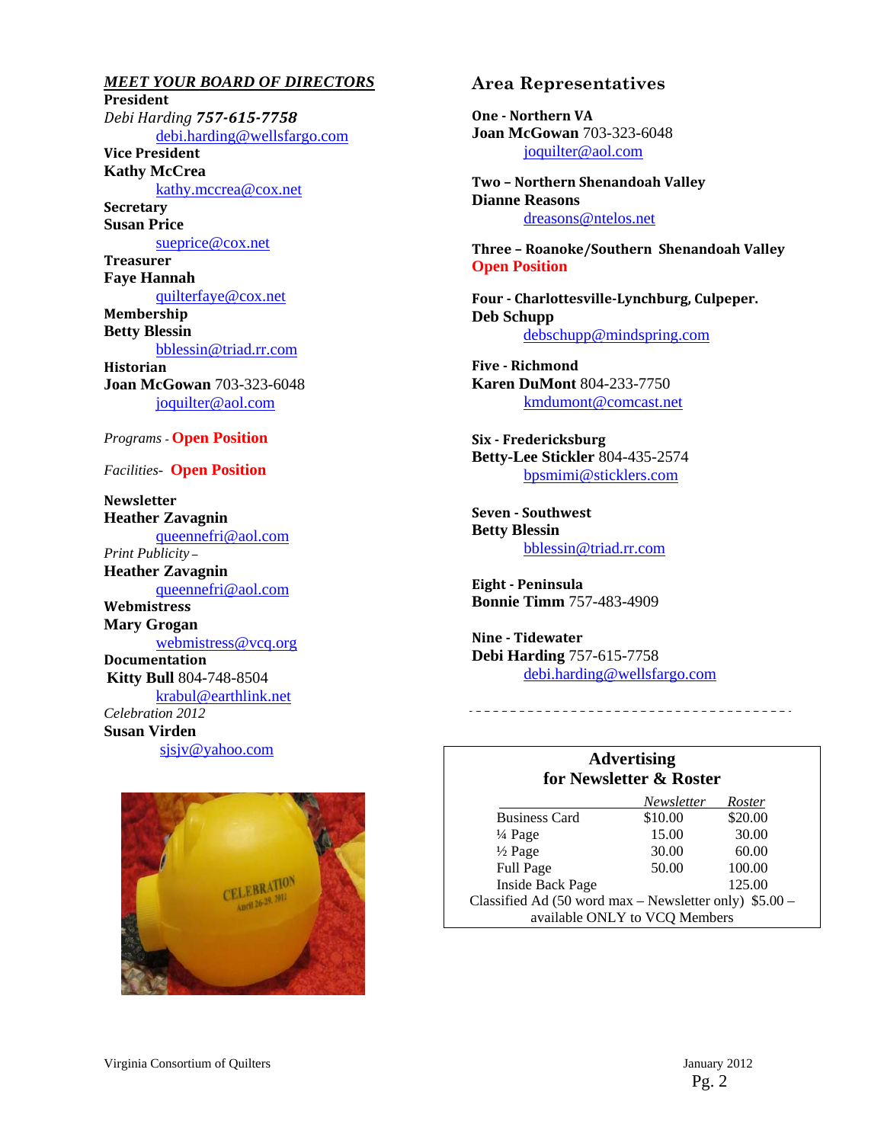*MEET YOUR BOARD OF DIRECTORS* **President** *Debi Harding 757‐615‐7758* debi.harding@wellsfargo.com **Vice President Kathy McCrea**  kathy.mccrea@cox.net **Secretary Susan Price**  sueprice@cox.net **Treasurer Faye Hannah**  quilterfaye@cox.net **Membership Betty Blessin**  bblessin@triad.rr.com **Historian Joan McGowan** 703-323-6048 joquilter@aol.com *Programs -* **Open Position**  *Facilities-* **Open Position Newsletter Heather Zavagnin** 

queennefri@aol.com *Print Publicity –*  **Heather Zavagnin**  queennefri@aol.com **Webmistress Mary Grogan**  webmistress@vcq.org **Documentation Kitty Bull** 804-748-8504 krabul@earthlink.net *Celebration 2012* **Susan Virden** sjsjv@yahoo.com



#### **Area Representatives**

**One** - Northern VA **Joan McGowan** 703-323-6048 joquilter@aol.com

**Two – Northern Shenandoah Valley Dianne Reasons** dreasons@ntelos.net

**Three – Roanoke/Southern Shenandoah Valley Open Position** 

**Four ‐ Charlottesville‐Lynchburg, Culpeper. Deb Schupp** debschupp@mindspring.com

**Five ‐ Richmond Karen DuMont** 804-233-7750 kmdumont@comcast.net

**Six ‐ Fredericksburg Betty-Lee Stickler** 804-435-2574 bpsmimi@sticklers.com

**Seven ‐ Southwest Betty Blessin**  bblessin@triad.rr.com

**Eight ‐ Peninsula Bonnie Timm** 757-483-4909

**Nine** - Tidewater **Debi Harding** 757-615-7758 debi.harding@wellsfargo.com

#### **Advertising for Newsletter & Roster**

--------------------------------------

|                                                        | Newsletter | Roster  |
|--------------------------------------------------------|------------|---------|
| <b>Business Card</b>                                   | \$10.00    | \$20.00 |
| $\frac{1}{4}$ Page                                     | 15.00      | 30.00   |
| $\frac{1}{2}$ Page                                     | 30.00      | 60.00   |
| <b>Full Page</b>                                       | 50.00      | 100.00  |
| <b>Inside Back Page</b>                                |            | 125.00  |
| Classified Ad (50 word max – Newsletter only) \$5.00 – |            |         |
| available ONLY to VCQ Members                          |            |         |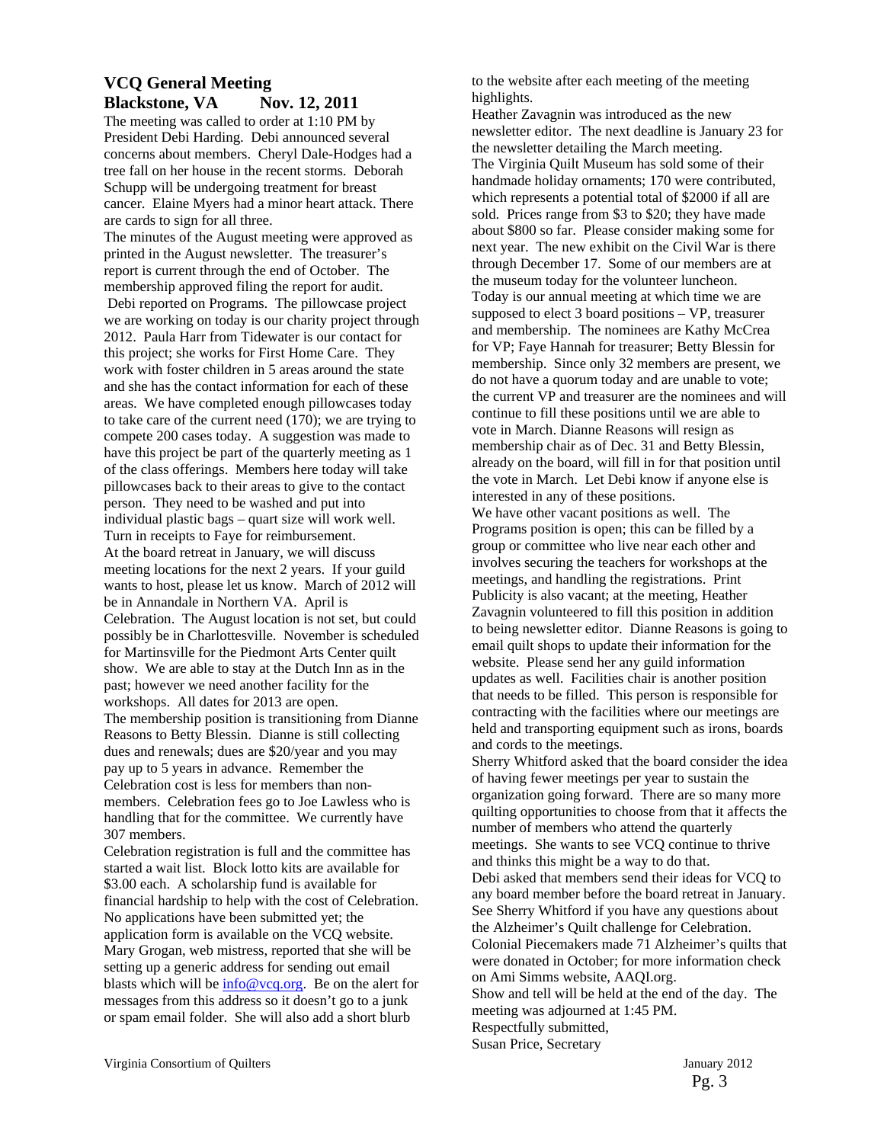### **VCQ General Meeting Blackstone, VA** Nov. 12, 2011

The meeting was called to order at 1:10 PM by President Debi Harding. Debi announced several concerns about members. Cheryl Dale-Hodges had a tree fall on her house in the recent storms. Deborah Schupp will be undergoing treatment for breast cancer. Elaine Myers had a minor heart attack. There are cards to sign for all three.

The minutes of the August meeting were approved as printed in the August newsletter. The treasurer's report is current through the end of October. The membership approved filing the report for audit. Debi reported on Programs. The pillowcase project we are working on today is our charity project through 2012. Paula Harr from Tidewater is our contact for this project; she works for First Home Care. They work with foster children in 5 areas around the state and she has the contact information for each of these areas. We have completed enough pillowcases today to take care of the current need (170); we are trying to compete 200 cases today. A suggestion was made to have this project be part of the quarterly meeting as 1 of the class offerings. Members here today will take pillowcases back to their areas to give to the contact person. They need to be washed and put into individual plastic bags – quart size will work well. Turn in receipts to Faye for reimbursement. At the board retreat in January, we will discuss meeting locations for the next 2 years. If your guild wants to host, please let us know. March of 2012 will be in Annandale in Northern VA. April is Celebration. The August location is not set, but could possibly be in Charlottesville. November is scheduled for Martinsville for the Piedmont Arts Center quilt show. We are able to stay at the Dutch Inn as in the past; however we need another facility for the workshops. All dates for 2013 are open. The membership position is transitioning from Dianne Reasons to Betty Blessin. Dianne is still collecting dues and renewals; dues are \$20/year and you may pay up to 5 years in advance. Remember the Celebration cost is less for members than nonmembers. Celebration fees go to Joe Lawless who is handling that for the committee. We currently have 307 members.

Celebration registration is full and the committee has started a wait list. Block lotto kits are available for \$3.00 each. A scholarship fund is available for financial hardship to help with the cost of Celebration. No applications have been submitted yet; the application form is available on the VCQ website. Mary Grogan, web mistress, reported that she will be setting up a generic address for sending out email blasts which will be  $\frac{info@vcq.org}{m}$ . Be on the alert for messages from this address so it doesn't go to a junk or spam email folder. She will also add a short blurb

to the website after each meeting of the meeting highlights.

Heather Zavagnin was introduced as the new newsletter editor. The next deadline is January 23 for the newsletter detailing the March meeting. The Virginia Quilt Museum has sold some of their handmade holiday ornaments; 170 were contributed, which represents a potential total of \$2000 if all are sold. Prices range from \$3 to \$20; they have made about \$800 so far. Please consider making some for next year. The new exhibit on the Civil War is there through December 17. Some of our members are at the museum today for the volunteer luncheon. Today is our annual meeting at which time we are supposed to elect 3 board positions – VP, treasurer and membership. The nominees are Kathy McCrea for VP; Faye Hannah for treasurer; Betty Blessin for membership. Since only 32 members are present, we do not have a quorum today and are unable to vote; the current VP and treasurer are the nominees and will continue to fill these positions until we are able to vote in March. Dianne Reasons will resign as membership chair as of Dec. 31 and Betty Blessin, already on the board, will fill in for that position until the vote in March. Let Debi know if anyone else is interested in any of these positions. We have other vacant positions as well. The Programs position is open; this can be filled by a group or committee who live near each other and involves securing the teachers for workshops at the meetings, and handling the registrations. Print Publicity is also vacant; at the meeting, Heather Zavagnin volunteered to fill this position in addition to being newsletter editor. Dianne Reasons is going to email quilt shops to update their information for the website. Please send her any guild information updates as well. Facilities chair is another position that needs to be filled. This person is responsible for contracting with the facilities where our meetings are held and transporting equipment such as irons, boards and cords to the meetings. Sherry Whitford asked that the board consider the idea of having fewer meetings per year to sustain the

organization going forward. There are so many more quilting opportunities to choose from that it affects the number of members who attend the quarterly meetings. She wants to see VCQ continue to thrive and thinks this might be a way to do that. Debi asked that members send their ideas for VCQ to any board member before the board retreat in January. See Sherry Whitford if you have any questions about the Alzheimer's Quilt challenge for Celebration. Colonial Piecemakers made 71 Alzheimer's quilts that were donated in October; for more information check on Ami Simms website, AAQI.org. Show and tell will be held at the end of the day. The

meeting was adjourned at 1:45 PM. Respectfully submitted, Susan Price, Secretary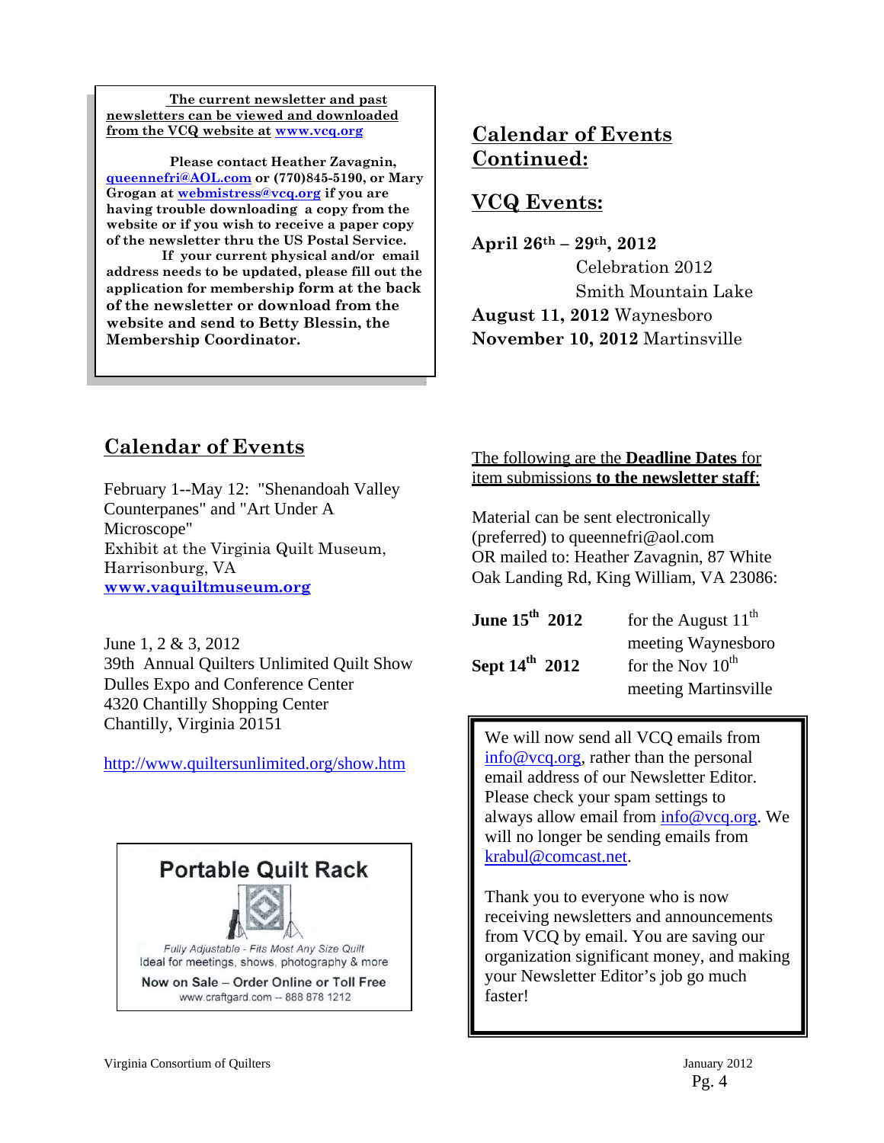**The current newsletter and past newsletters can be viewed and downloaded from the VCQ website at www.vcq.org**

 **Please contact Heather Zavagnin, queennefri@AOL.com or (770)845-5190, or Mary Grogan at webmistress@vcq.org if you are having trouble downloading a copy from the website or if you wish to receive a paper copy of the newsletter thru the US Postal Service.** 

 **If your current physical and/or email address needs to be updated, please fill out the application for membership form at the back of the newsletter or download from the website and send to Betty Blessin, the Membership Coordinator.** 

## **Calendar of Events Continued:**

## **VCQ Events:**

**April 26th – 29th, 2012**  Celebration 2012 Smith Mountain Lake **August 11, 2012** Waynesboro **November 10, 2012** Martinsville

## **Calendar of Events**

February 1--May 12: "Shenandoah Valley Counterpanes" and "Art Under A Microscope" Exhibit at the Virginia Quilt Museum, Harrisonburg, VA **www.vaquiltmuseum.org**

June 1, 2 & 3, 2012 39th Annual Quilters Unlimited Quilt Show Dulles Expo and Conference Center 4320 Chantilly Shopping Center Chantilly, Virginia 20151

http://www.quiltersunlimited.org/show.htm



### The following are the **Deadline Dates** for item submissions **to the newsletter staff**:

Material can be sent electronically (preferred) to queennefri@aol.com OR mailed to: Heather Zavagnin, 87 White Oak Landing Rd, King William, VA 23086:

| June $15^{th}$ 2012        | for the August $11^{th}$     |  |
|----------------------------|------------------------------|--|
|                            | meeting Waynesboro           |  |
| Sept $14^{\text{th}}$ 2012 | for the Nov $10^{\text{th}}$ |  |
|                            | meeting Martinsville         |  |

We will now send all VCQ emails from info@vcq.org, rather than the personal email address of our Newsletter Editor. Please check your spam settings to always allow email from info@vcq.org. We will no longer be sending emails from krabul@comcast.net.

Thank you to everyone who is now receiving newsletters and announcements from VCQ by email. You are saving our organization significant money, and making your Newsletter Editor's job go much faster!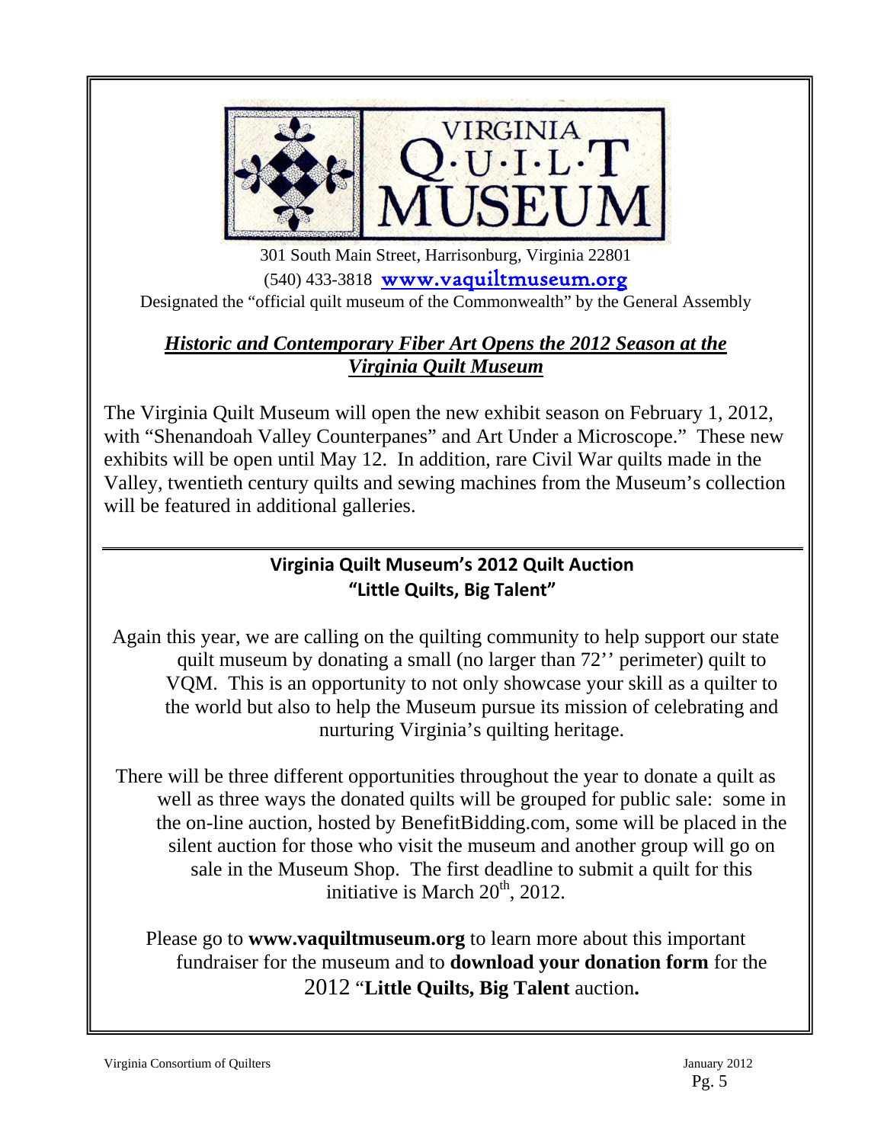

 301 South Main Street, Harrisonburg, Virginia 22801 (540) 433-3818 www.vaquiltmuseum.org Designated the "official quilt museum of the Commonwealth" by the General Assembly

## *Historic and Contemporary Fiber Art Opens the 2012 Season at the Virginia Quilt Museum*

The Virginia Quilt Museum will open the new exhibit season on February 1, 2012, with "Shenandoah Valley Counterpanes" and Art Under a Microscope." These new exhibits will be open until May 12. In addition, rare Civil War quilts made in the Valley, twentieth century quilts and sewing machines from the Museum's collection will be featured in additional galleries.

## **Virginia Quilt Museum's 2012 Quilt Auction "Little Quilts, Big Talent"**

Again this year, we are calling on the quilting community to help support our state quilt museum by donating a small (no larger than 72'' perimeter) quilt to VQM. This is an opportunity to not only showcase your skill as a quilter to the world but also to help the Museum pursue its mission of celebrating and nurturing Virginia's quilting heritage.

There will be three different opportunities throughout the year to donate a quilt as well as three ways the donated quilts will be grouped for public sale: some in the on-line auction, hosted by BenefitBidding.com, some will be placed in the silent auction for those who visit the museum and another group will go on sale in the Museum Shop. The first deadline to submit a quilt for this initiative is March  $20<sup>th</sup>$ , 2012.

Please go to **www.vaquiltmuseum.org** to learn more about this important fundraiser for the museum and to **download your donation form** for the 2012 "**Little Quilts, Big Talent** auction**.** 

 $\overline{a}$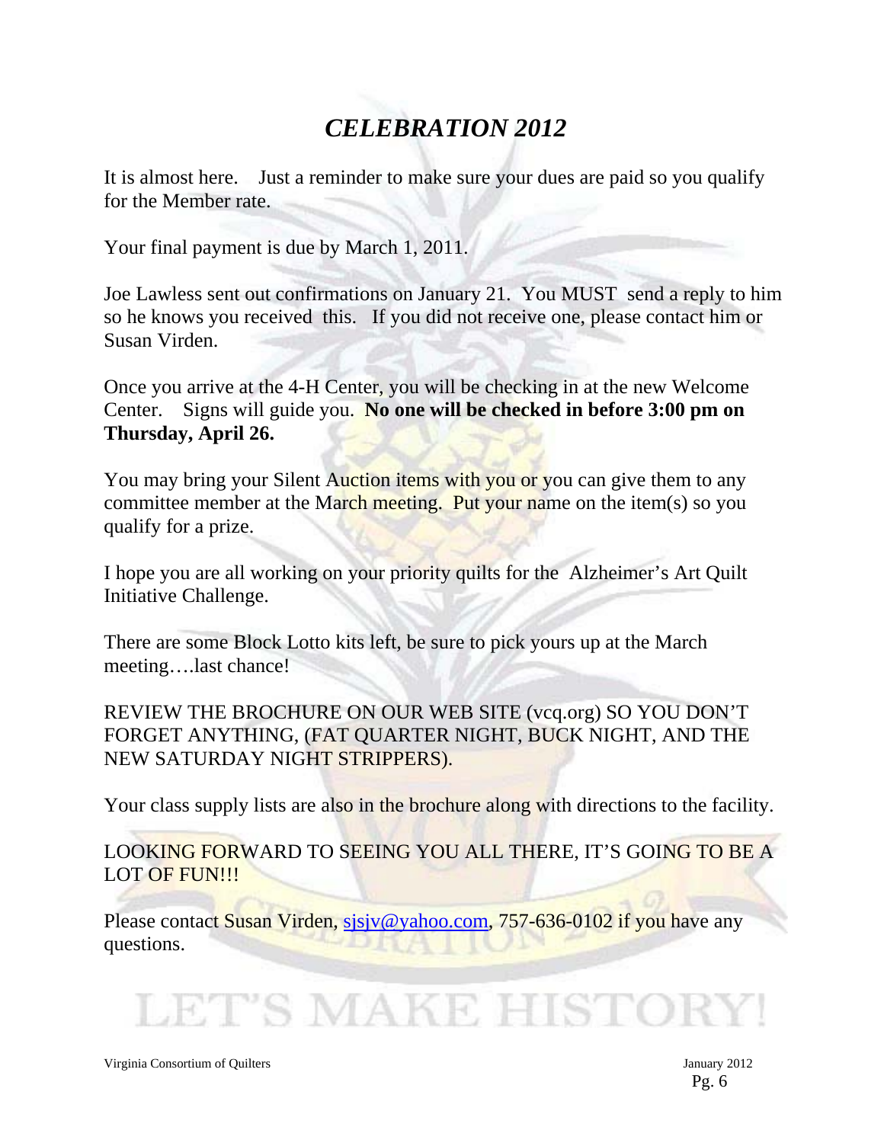## *CELEBRATION 2012*

It is almost here. Just a reminder to make sure your dues are paid so you qualify for the Member rate.

Your final payment is due by March 1, 2011.

Joe Lawless sent out confirmations on January 21. You MUST send a reply to him so he knows you received this. If you did not receive one, please contact him or Susan Virden.

Once you arrive at the 4-H Center, you will be checking in at the new Welcome Center. Signs will guide you. **No one will be checked in before 3:00 pm on Thursday, April 26.** 

You may bring your Silent Auction items with you or you can give them to any committee member at the March meeting. Put your name on the item(s) so you qualify for a prize.

I hope you are all working on your priority quilts for the Alzheimer's Art Quilt Initiative Challenge.

There are some Block Lotto kits left, be sure to pick yours up at the March meeting….last chance!

REVIEW THE BROCHURE ON OUR WEB SITE (vcq.org) SO YOU DON'T FORGET ANYTHING, (FAT QUARTER NIGHT, BUCK NIGHT, AND THE NEW SATURDAY NIGHT STRIPPERS).

Your class supply lists are also in the brochure along with directions to the facility.

LOOKING FORWARD TO SEEING YOU ALL THERE, IT'S GOING TO BE A LOT OF FUN!!!

Please contact Susan Virden, sisjv@yahoo.com, 757-636-0102 if you have any questions.

LET'S MAKE HISTOI

Virginia Consortium of Quilters January 2012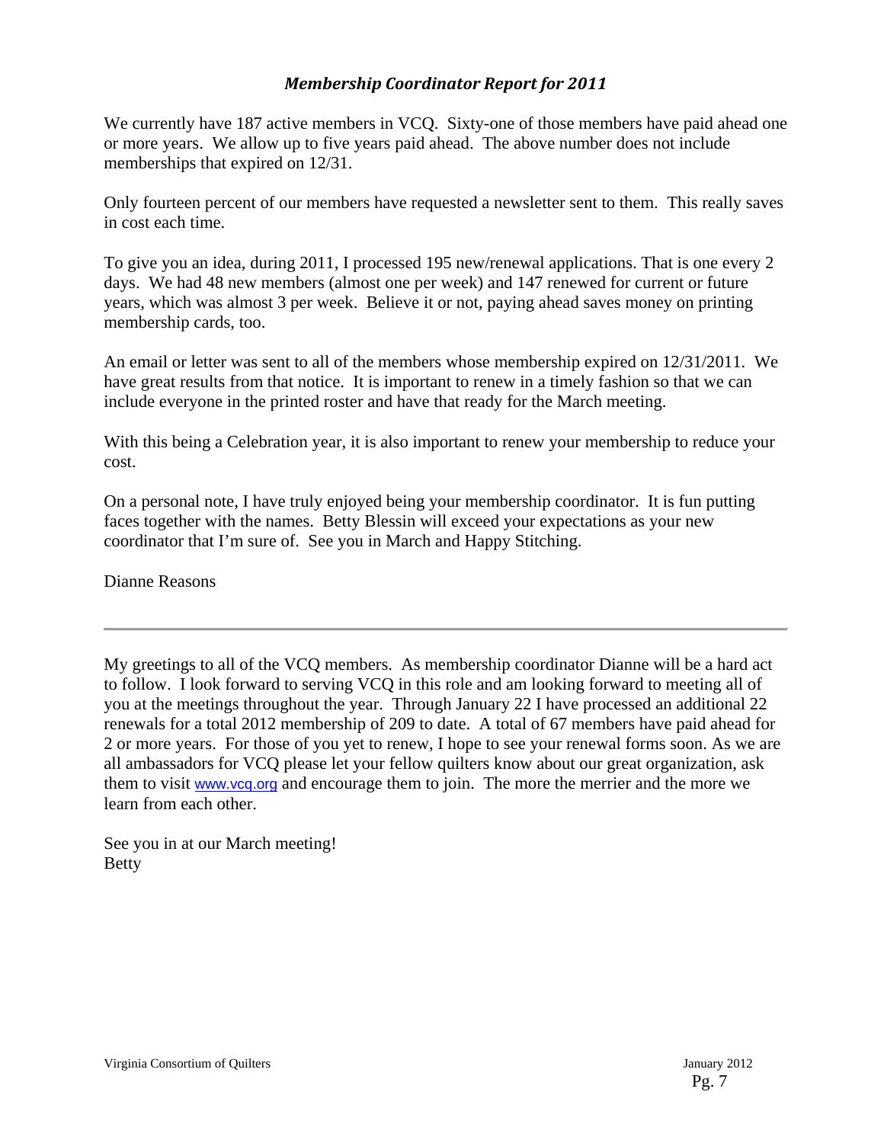#### *Membership Coordinator Report for 2011*

We currently have 187 active members in VCQ. Sixty-one of those members have paid ahead one or more years. We allow up to five years paid ahead. The above number does not include memberships that expired on 12/31.

Only fourteen percent of our members have requested a newsletter sent to them. This really saves in cost each time.

To give you an idea, during 2011, I processed 195 new/renewal applications. That is one every 2 days. We had 48 new members (almost one per week) and 147 renewed for current or future years, which was almost 3 per week. Believe it or not, paying ahead saves money on printing membership cards, too.

An email or letter was sent to all of the members whose membership expired on 12/31/2011. We have great results from that notice. It is important to renew in a timely fashion so that we can include everyone in the printed roster and have that ready for the March meeting.

With this being a Celebration year, it is also important to renew your membership to reduce your cost.

On a personal note, I have truly enjoyed being your membership coordinator. It is fun putting faces together with the names. Betty Blessin will exceed your expectations as your new coordinator that I'm sure of. See you in March and Happy Stitching.

Dianne Reasons

My greetings to all of the VCQ members. As membership coordinator Dianne will be a hard act to follow. I look forward to serving VCQ in this role and am looking forward to meeting all of you at the meetings throughout the year. Through January 22 I have processed an additional 22 renewals for a total 2012 membership of 209 to date. A total of 67 members have paid ahead for 2 or more years. For those of you yet to renew, I hope to see your renewal forms soon. As we are all ambassadors for VCQ please let your fellow quilters know about our great organization, ask them to visit www.vcq.org and encourage them to join. The more the merrier and the more we learn from each other.

See you in at our March meeting! Betty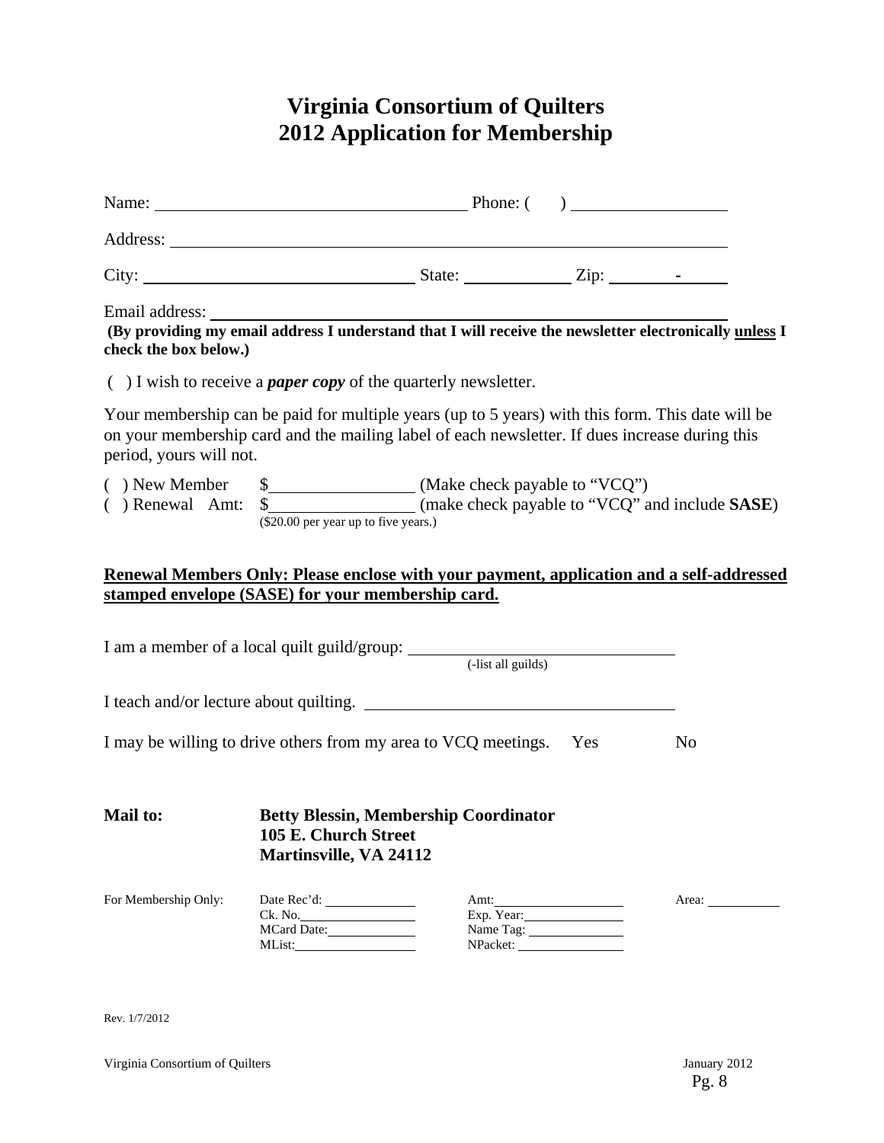## **Virginia Consortium of Quilters 2012 Application for Membership**

| check the box below.)   |                                                                                                                                                                                                    |                         |                                                                                          |
|-------------------------|----------------------------------------------------------------------------------------------------------------------------------------------------------------------------------------------------|-------------------------|------------------------------------------------------------------------------------------|
|                         | $( )$ I wish to receive a <i>paper copy</i> of the quarterly newsletter.                                                                                                                           |                         |                                                                                          |
| period, yours will not. | Your membership can be paid for multiple years (up to 5 years) with this form. This date will be<br>on your membership card and the mailing label of each newsletter. If dues increase during this |                         |                                                                                          |
|                         | (\$20.00 per year up to five years.)                                                                                                                                                               |                         |                                                                                          |
|                         | stamped envelope (SASE) for your membership card.                                                                                                                                                  |                         | Renewal Members Only: Please enclose with your payment, application and a self-addressed |
|                         |                                                                                                                                                                                                    |                         |                                                                                          |
|                         | I may be willing to drive others from my area to VCQ meetings. Yes                                                                                                                                 |                         | N <sub>o</sub>                                                                           |
| Mail to:                | <b>Betty Blessin, Membership Coordinator</b><br>105 E. Church Street<br><b>Martinsville, VA 24112</b>                                                                                              |                         |                                                                                          |
| For Membership Only:    | Ck. No.<br>MCard Date:                                                                                                                                                                             | Exp. Year:<br>Name Tag: | Area:                                                                                    |

Rev. 1/7/2012

Virginia Consortium of Quilters January 2012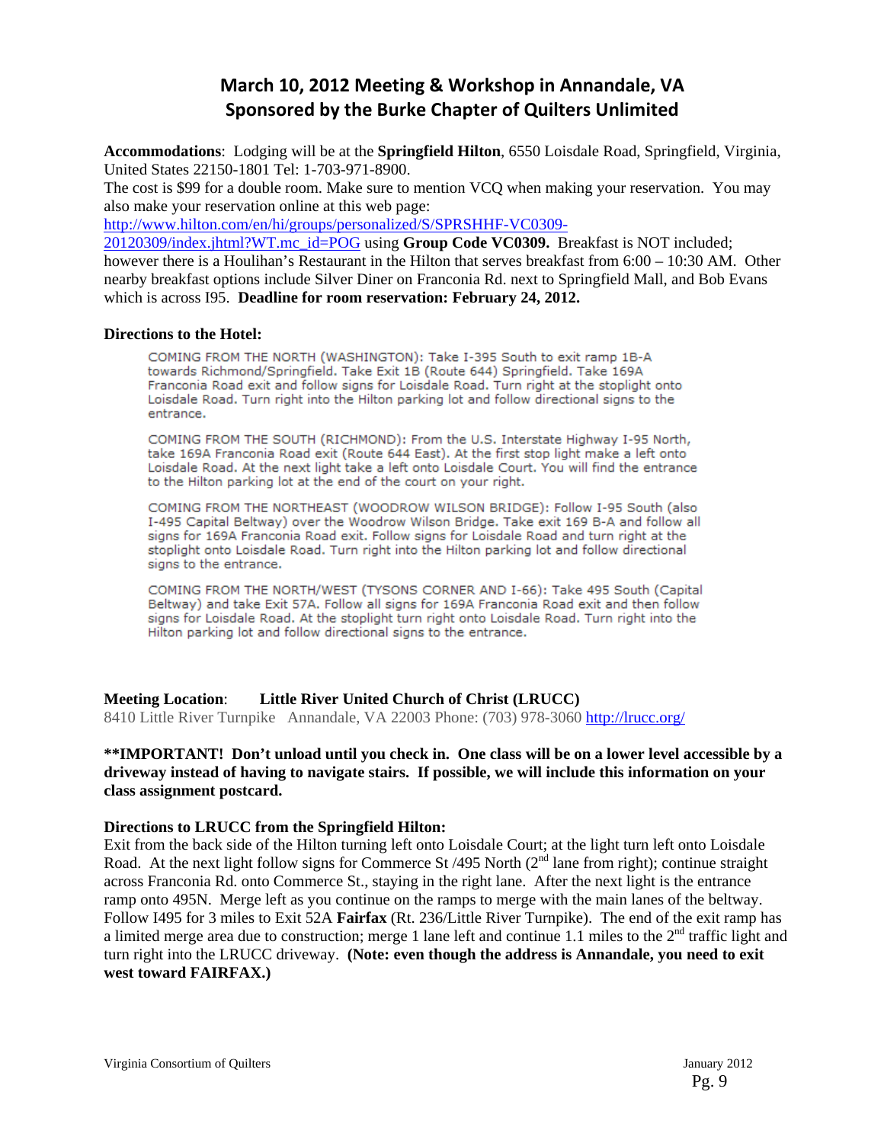## **March 10, 2012 Meeting & Workshop in Annandale, VA Sponsored by the Burke Chapter of Quilters Unlimited**

**Accommodations**: Lodging will be at the **Springfield Hilton**, 6550 Loisdale Road, Springfield, Virginia, United States 22150-1801 Tel: 1-703-971-8900.

The cost is \$99 for a double room. Make sure to mention VCQ when making your reservation. You may also make your reservation online at this web page:

http://www.hilton.com/en/hi/groups/personalized/S/SPRSHHF-VC0309-

20120309/index.jhtml?WT.mc\_id=POG using **Group Code VC0309.** Breakfast is NOT included; however there is a Houlihan's Restaurant in the Hilton that serves breakfast from  $6:00 - 10:30$  AM. Other nearby breakfast options include Silver Diner on Franconia Rd. next to Springfield Mall, and Bob Evans which is across I95. **Deadline for room reservation: February 24, 2012.**

#### **Directions to the Hotel:**

COMING FROM THE NORTH (WASHINGTON): Take I-395 South to exit ramp 1B-A towards Richmond/Springfield. Take Exit 1B (Route 644) Springfield. Take 169A Franconia Road exit and follow signs for Loisdale Road. Turn right at the stoplight onto Loisdale Road. Turn right into the Hilton parking lot and follow directional signs to the entrance.

COMING FROM THE SOUTH (RICHMOND): From the U.S. Interstate Highway I-95 North, take 169A Franconia Road exit (Route 644 East). At the first stop light make a left onto Loisdale Road. At the next light take a left onto Loisdale Court. You will find the entrance to the Hilton parking lot at the end of the court on your right.

COMING FROM THE NORTHEAST (WOODROW WILSON BRIDGE): Follow I-95 South (also I-495 Capital Beltway) over the Woodrow Wilson Bridge. Take exit 169 B-A and follow all signs for 169A Franconia Road exit. Follow signs for Loisdale Road and turn right at the stoplight onto Loisdale Road. Turn right into the Hilton parking lot and follow directional signs to the entrance.

COMING FROM THE NORTH/WEST (TYSONS CORNER AND I-66): Take 495 South (Capital Beltway) and take Exit 57A. Follow all signs for 169A Franconia Road exit and then follow signs for Loisdale Road. At the stoplight turn right onto Loisdale Road. Turn right into the Hilton parking lot and follow directional signs to the entrance.

**Meeting Location**: **Little River United Church of Christ (LRUCC)** 

8410 Little River Turnpike Annandale, VA 22003 Phone: (703) 978-3060 http://lrucc.org/

#### **\*\*IMPORTANT! Don't unload until you check in. One class will be on a lower level accessible by a driveway instead of having to navigate stairs. If possible, we will include this information on your class assignment postcard.**

#### **Directions to LRUCC from the Springfield Hilton:**

Exit from the back side of the Hilton turning left onto Loisdale Court; at the light turn left onto Loisdale Road. At the next light follow signs for Commerce St  $/495$  North ( $2<sup>nd</sup>$  lane from right); continue straight across Franconia Rd. onto Commerce St., staying in the right lane. After the next light is the entrance ramp onto 495N. Merge left as you continue on the ramps to merge with the main lanes of the beltway. Follow I495 for 3 miles to Exit 52A **Fairfax** (Rt. 236/Little River Turnpike). The end of the exit ramp has a limited merge area due to construction; merge 1 lane left and continue 1.1 miles to the  $2<sup>nd</sup>$  traffic light and turn right into the LRUCC driveway. **(Note: even though the address is Annandale, you need to exit west toward FAIRFAX.)**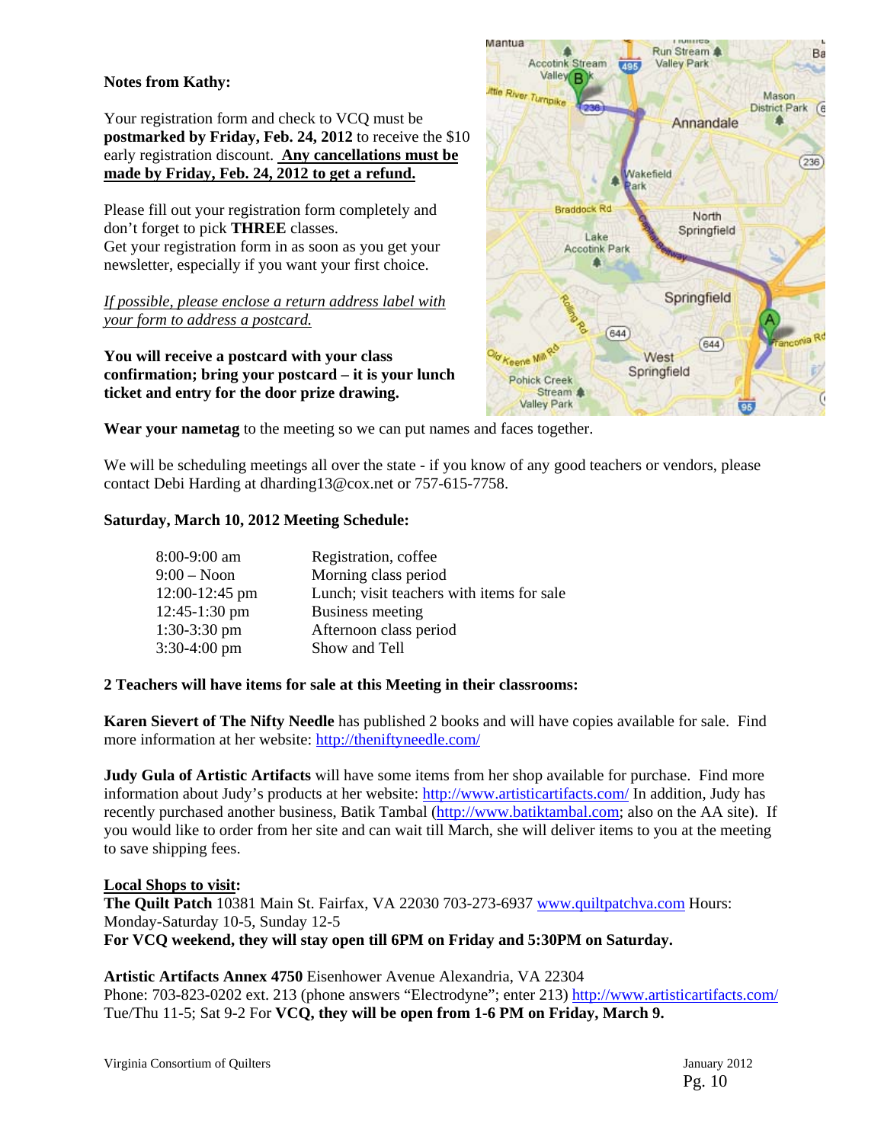#### **Notes from Kathy:**

Your registration form and check to VCQ must be **postmarked by Friday, Feb. 24, 2012** to receive the \$10 early registration discount. **Any cancellations must be made by Friday, Feb. 24, 2012 to get a refund.**

Please fill out your registration form completely and don't forget to pick **THREE** classes. Get your registration form in as soon as you get your newsletter, especially if you want your first choice.

*If possible, please enclose a return address label with your form to address a postcard.*

**You will receive a postcard with your class confirmation; bring your postcard – it is your lunch ticket and entry for the door prize drawing.** 



**Wear your nametag** to the meeting so we can put names and faces together.

We will be scheduling meetings all over the state - if you know of any good teachers or vendors, please contact Debi Harding at dharding13@cox.net or 757-615-7758.

#### **Saturday, March 10, 2012 Meeting Schedule:**

| 8:00-9:00 am    | Registration, coffee                      |
|-----------------|-------------------------------------------|
| $9:00 - N$ oon  | Morning class period                      |
| 12:00-12:45 pm  | Lunch; visit teachers with items for sale |
| $12:45-1:30$ pm | Business meeting                          |
| $1:30-3:30$ pm  | Afternoon class period                    |
| 3:30-4:00 pm    | Show and Tell                             |

#### **2 Teachers will have items for sale at this Meeting in their classrooms:**

**Karen Sievert of The Nifty Needle** has published 2 books and will have copies available for sale. Find more information at her website: http://theniftyneedle.com/

**Judy Gula of Artistic Artifacts** will have some items from her shop available for purchase. Find more information about Judy's products at her website: http://www.artisticartifacts.com/ In addition, Judy has recently purchased another business, Batik Tambal (http://www.batiktambal.com; also on the AA site). If you would like to order from her site and can wait till March, she will deliver items to you at the meeting to save shipping fees.

#### **Local Shops to visit:**

**The Quilt Patch** 10381 Main St. Fairfax, VA 22030 703-273-6937 www.quiltpatchva.com Hours: Monday-Saturday 10-5, Sunday 12-5 **For VCQ weekend, they will stay open till 6PM on Friday and 5:30PM on Saturday.** 

**Artistic Artifacts Annex 4750** Eisenhower Avenue Alexandria, VA 22304

Phone: 703-823-0202 ext. 213 (phone answers "Electrodyne"; enter 213) http://www.artisticartifacts.com/ Tue/Thu 11-5; Sat 9-2 For **VCQ, they will be open from 1-6 PM on Friday, March 9.**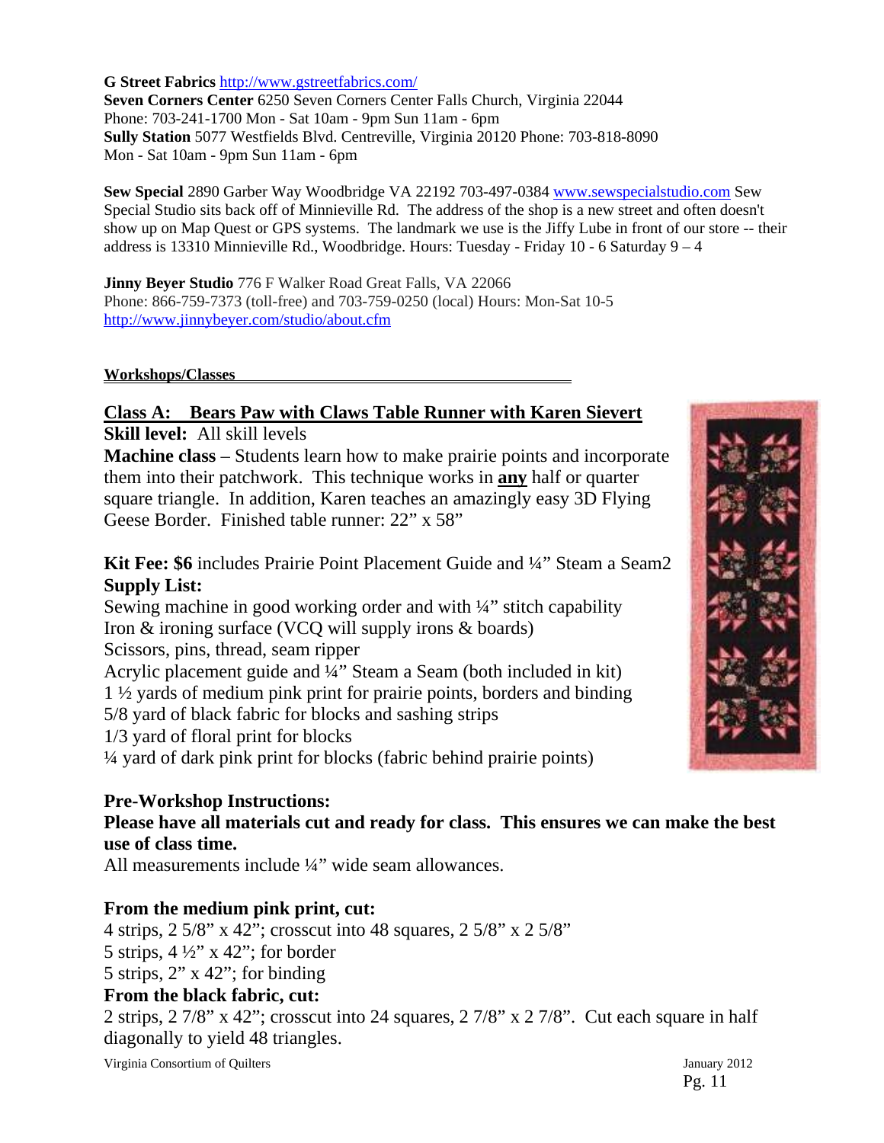**G Street Fabrics** http://www.gstreetfabrics.com/

**Seven Corners Center** 6250 Seven Corners Center Falls Church, Virginia 22044 Phone: 703-241-1700 Mon - Sat 10am - 9pm Sun 11am - 6pm **Sully Station** 5077 Westfields Blvd. Centreville, Virginia 20120 Phone: 703-818-8090 Mon - Sat 10am - 9pm Sun 11am - 6pm

**Sew Special** 2890 Garber Way Woodbridge VA 22192 703-497-0384 www.sewspecialstudio.com Sew Special Studio sits back off of Minnieville Rd. The address of the shop is a new street and often doesn't show up on Map Quest or GPS systems. The landmark we use is the Jiffy Lube in front of our store -- their address is 13310 Minnieville Rd., Woodbridge. Hours: Tuesday - Friday 10 - 6 Saturday 9 – 4

**Jinny Beyer Studio** 776 F Walker Road Great Falls, VA 22066 Phone: 866-759-7373 (toll-free) and 703-759-0250 (local) Hours: Mon-Sat 10-5 http://www.jinnybeyer.com/studio/about.cfm

#### **Workshops/Classes**

**Class A: Bears Paw with Claws Table Runner with Karen Sievert Skill level:** All skill levels

**Machine class** – Students learn how to make prairie points and incorporate them into their patchwork. This technique works in **any** half or quarter square triangle. In addition, Karen teaches an amazingly easy 3D Flying Geese Border. Finished table runner: 22" x 58"

**Kit Fee: \$6** includes Prairie Point Placement Guide and ¼" Steam a Seam2 **Supply List:** 

Sewing machine in good working order and with ¼" stitch capability Iron & ironing surface (VCQ will supply irons & boards) Scissors, pins, thread, seam ripper Acrylic placement guide and ¼" Steam a Seam (both included in kit) 1 ½ yards of medium pink print for prairie points, borders and binding 5/8 yard of black fabric for blocks and sashing strips 1/3 yard of floral print for blocks ¼ yard of dark pink print for blocks (fabric behind prairie points)

#### **Pre-Workshop Instructions:**

### **Please have all materials cut and ready for class. This ensures we can make the best use of class time.**

All measurements include ¼" wide seam allowances.

#### **From the medium pink print, cut:**

4 strips, 2 5/8" x 42"; crosscut into 48 squares, 2 5/8" x 2 5/8" 5 strips,  $4\frac{1}{2}$ " x 42"; for border 5 strips, 2" x 42"; for binding **From the black fabric, cut:** 

2 strips, 2 7/8" x 42"; crosscut into 24 squares, 2 7/8" x 2 7/8". Cut each square in half diagonally to yield 48 triangles.

Virginia Consortium of Quilters January 2012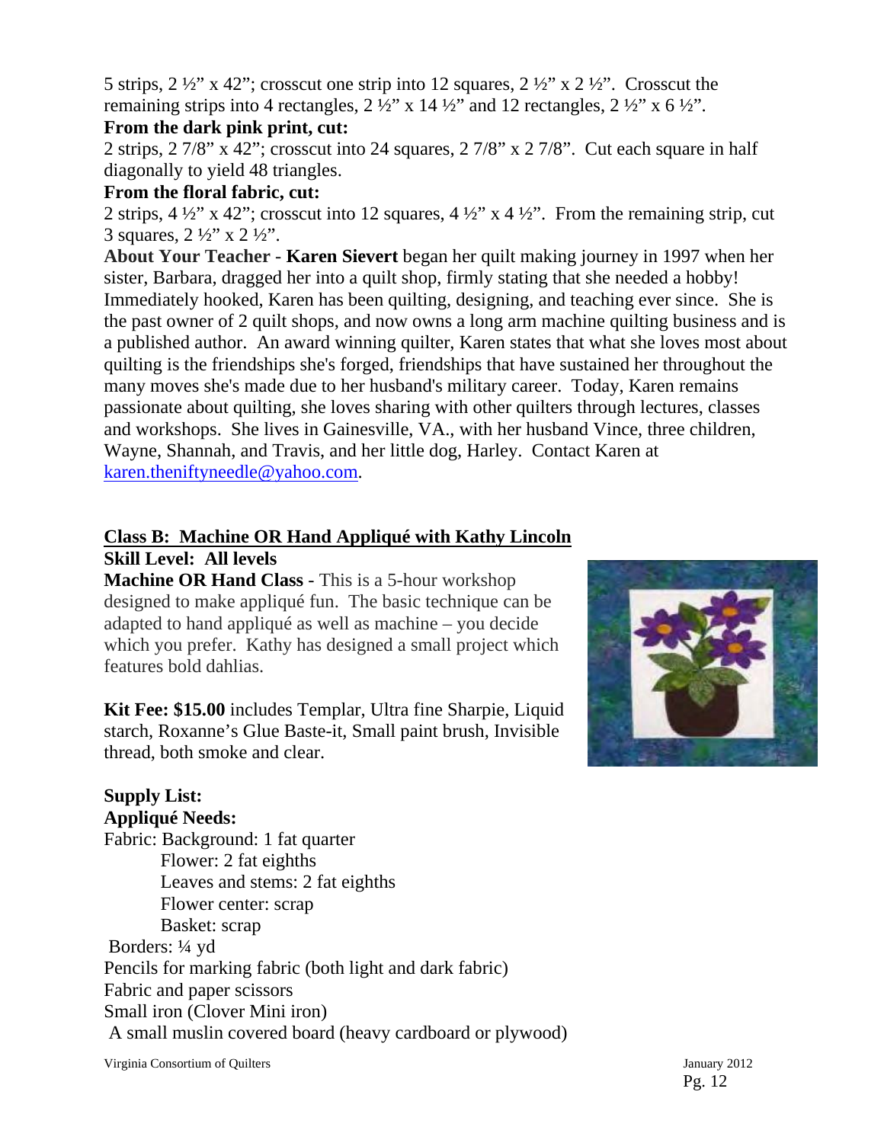5 strips,  $2 \frac{1}{2}$ " x 42"; crosscut one strip into 12 squares,  $2 \frac{1}{2}$ " x  $2 \frac{1}{2}$ ". Crosscut the remaining strips into 4 rectangles,  $2 \frac{1}{2}$ " x  $14 \frac{1}{2}$ " and 12 rectangles,  $2 \frac{1}{2}$ " x  $6 \frac{1}{2}$ ".

## **From the dark pink print, cut:**

2 strips, 2 7/8" x 42"; crosscut into 24 squares, 2 7/8" x 2 7/8". Cut each square in half diagonally to yield 48 triangles.

## **From the floral fabric, cut:**

2 strips, 4  $\frac{1}{2}$ " x 42"; crosscut into 12 squares, 4  $\frac{1}{2}$ " x 4  $\frac{1}{2}$ ". From the remaining strip, cut 3 squares,  $2 \frac{1}{2}$  x  $2 \frac{1}{2}$ .

**About Your Teacher - Karen Sievert** began her quilt making journey in 1997 when her sister, Barbara, dragged her into a quilt shop, firmly stating that she needed a hobby! Immediately hooked, Karen has been quilting, designing, and teaching ever since. She is the past owner of 2 quilt shops, and now owns a long arm machine quilting business and is a published author. An award winning quilter, Karen states that what she loves most about quilting is the friendships she's forged, friendships that have sustained her throughout the many moves she's made due to her husband's military career. Today, Karen remains passionate about quilting, she loves sharing with other quilters through lectures, classes and workshops. She lives in Gainesville, VA., with her husband Vince, three children, Wayne, Shannah, and Travis, and her little dog, Harley. Contact Karen at karen.theniftyneedle@yahoo.com.

## **Class B: Machine OR Hand Appliqué with Kathy Lincoln Skill Level: All levels**

**Machine OR Hand Class** - This is a 5-hour workshop designed to make appliqué fun. The basic technique can be adapted to hand appliqué as well as machine – you decide which you prefer. Kathy has designed a small project which features bold dahlias.

**Kit Fee: \$15.00** includes Templar, Ultra fine Sharpie, Liquid starch, Roxanne's Glue Baste-it, Small paint brush, Invisible thread, both smoke and clear.

## **Supply List:**

**Appliqué Needs:**  Fabric: Background: 1 fat quarter Flower: 2 fat eighths Leaves and stems: 2 fat eighths Flower center: scrap Basket: scrap Borders: ¼ yd Pencils for marking fabric (both light and dark fabric) Fabric and paper scissors Small iron (Clover Mini iron) A small muslin covered board (heavy cardboard or plywood)

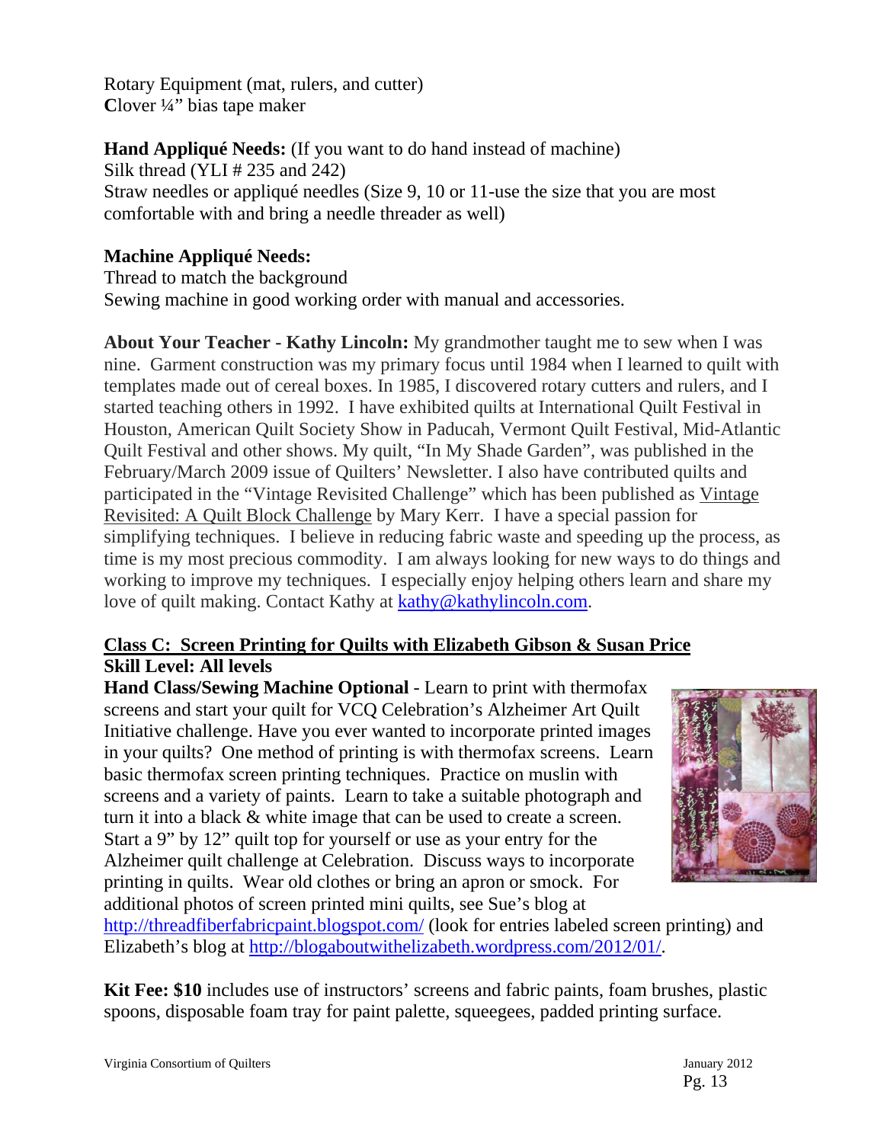Rotary Equipment (mat, rulers, and cutter) **C**lover ¼" bias tape maker

**Hand Appliqué Needs:** (If you want to do hand instead of machine) Silk thread (YLI # 235 and 242)

Straw needles or appliqué needles (Size 9, 10 or 11-use the size that you are most comfortable with and bring a needle threader as well)

## **Machine Appliqué Needs:**

Thread to match the background Sewing machine in good working order with manual and accessories.

**About Your Teacher - Kathy Lincoln:** My grandmother taught me to sew when I was nine. Garment construction was my primary focus until 1984 when I learned to quilt with templates made out of cereal boxes. In 1985, I discovered rotary cutters and rulers, and I started teaching others in 1992. I have exhibited quilts at International Quilt Festival in Houston, American Quilt Society Show in Paducah, Vermont Quilt Festival, Mid-Atlantic Quilt Festival and other shows. My quilt, "In My Shade Garden", was published in the February/March 2009 issue of Quilters' Newsletter. I also have contributed quilts and participated in the "Vintage Revisited Challenge" which has been published as Vintage Revisited: A Quilt Block Challenge by Mary Kerr. I have a special passion for simplifying techniques. I believe in reducing fabric waste and speeding up the process, as time is my most precious commodity. I am always looking for new ways to do things and working to improve my techniques. I especially enjoy helping others learn and share my love of quilt making. Contact Kathy at kathy@kathylincoln.com.

## **Class C: Screen Printing for Quilts with Elizabeth Gibson & Susan Price Skill Level: All levels**

**Hand Class/Sewing Machine Optional** - Learn to print with thermofax screens and start your quilt for VCQ Celebration's Alzheimer Art Quilt Initiative challenge. Have you ever wanted to incorporate printed images in your quilts? One method of printing is with thermofax screens. Learn basic thermofax screen printing techniques. Practice on muslin with screens and a variety of paints. Learn to take a suitable photograph and turn it into a black & white image that can be used to create a screen. Start a 9" by 12" quilt top for yourself or use as your entry for the Alzheimer quilt challenge at Celebration. Discuss ways to incorporate printing in quilts. Wear old clothes or bring an apron or smock. For additional photos of screen printed mini quilts, see Sue's blog at



http://threadfiberfabricpaint.blogspot.com/ (look for entries labeled screen printing) and Elizabeth's blog at http://blogaboutwithelizabeth.wordpress.com/2012/01/.

**Kit Fee: \$10** includes use of instructors' screens and fabric paints, foam brushes, plastic spoons, disposable foam tray for paint palette, squeegees, padded printing surface.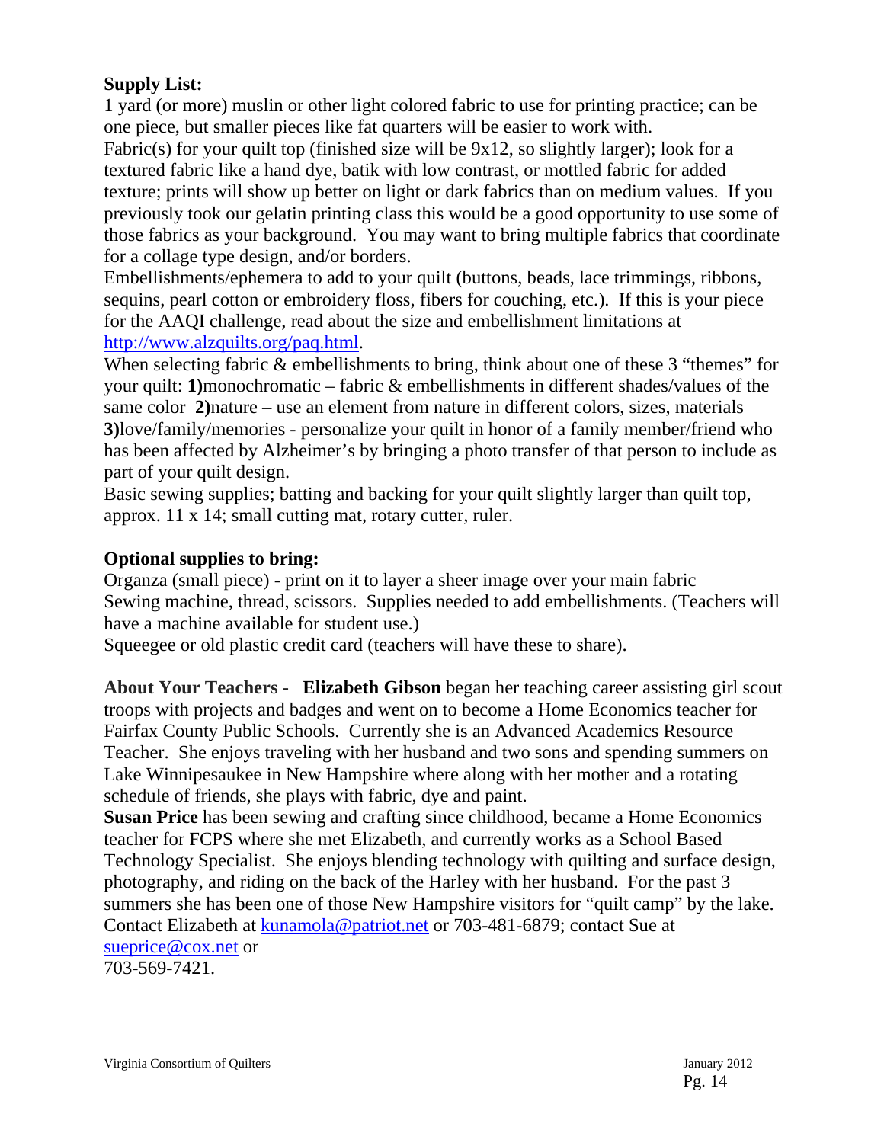## **Supply List:**

1 yard (or more) muslin or other light colored fabric to use for printing practice; can be one piece, but smaller pieces like fat quarters will be easier to work with.

Fabric(s) for your quilt top (finished size will be 9x12, so slightly larger); look for a textured fabric like a hand dye, batik with low contrast, or mottled fabric for added texture; prints will show up better on light or dark fabrics than on medium values. If you previously took our gelatin printing class this would be a good opportunity to use some of those fabrics as your background. You may want to bring multiple fabrics that coordinate for a collage type design, and/or borders.

Embellishments/ephemera to add to your quilt (buttons, beads, lace trimmings, ribbons, sequins, pearl cotton or embroidery floss, fibers for couching, etc.). If this is your piece for the AAQI challenge, read about the size and embellishment limitations at http://www.alzquilts.org/paq.html.

When selecting fabric & embellishments to bring, think about one of these 3 "themes" for your quilt: **1)**monochromatic – fabric & embellishments in different shades/values of the same color **2)**nature – use an element from nature in different colors, sizes, materials **3)**love/family/memories - personalize your quilt in honor of a family member/friend who has been affected by Alzheimer's by bringing a photo transfer of that person to include as part of your quilt design.

Basic sewing supplies; batting and backing for your quilt slightly larger than quilt top, approx. 11 x 14; small cutting mat, rotary cutter, ruler.

### **Optional supplies to bring:**

Organza (small piece) **-** print on it to layer a sheer image over your main fabric Sewing machine, thread, scissors. Supplies needed to add embellishments. (Teachers will have a machine available for student use.)

Squeegee or old plastic credit card (teachers will have these to share).

**About Your Teachers - Elizabeth Gibson** began her teaching career assisting girl scout troops with projects and badges and went on to become a Home Economics teacher for Fairfax County Public Schools. Currently she is an Advanced Academics Resource Teacher. She enjoys traveling with her husband and two sons and spending summers on Lake Winnipesaukee in New Hampshire where along with her mother and a rotating schedule of friends, she plays with fabric, dye and paint.

**Susan Price** has been sewing and crafting since childhood, became a Home Economics teacher for FCPS where she met Elizabeth, and currently works as a School Based Technology Specialist. She enjoys blending technology with quilting and surface design, photography, and riding on the back of the Harley with her husband. For the past 3 summers she has been one of those New Hampshire visitors for "quilt camp" by the lake. Contact Elizabeth at kunamola@patriot.net or 703-481-6879; contact Sue at sueprice@cox.net or

703-569-7421.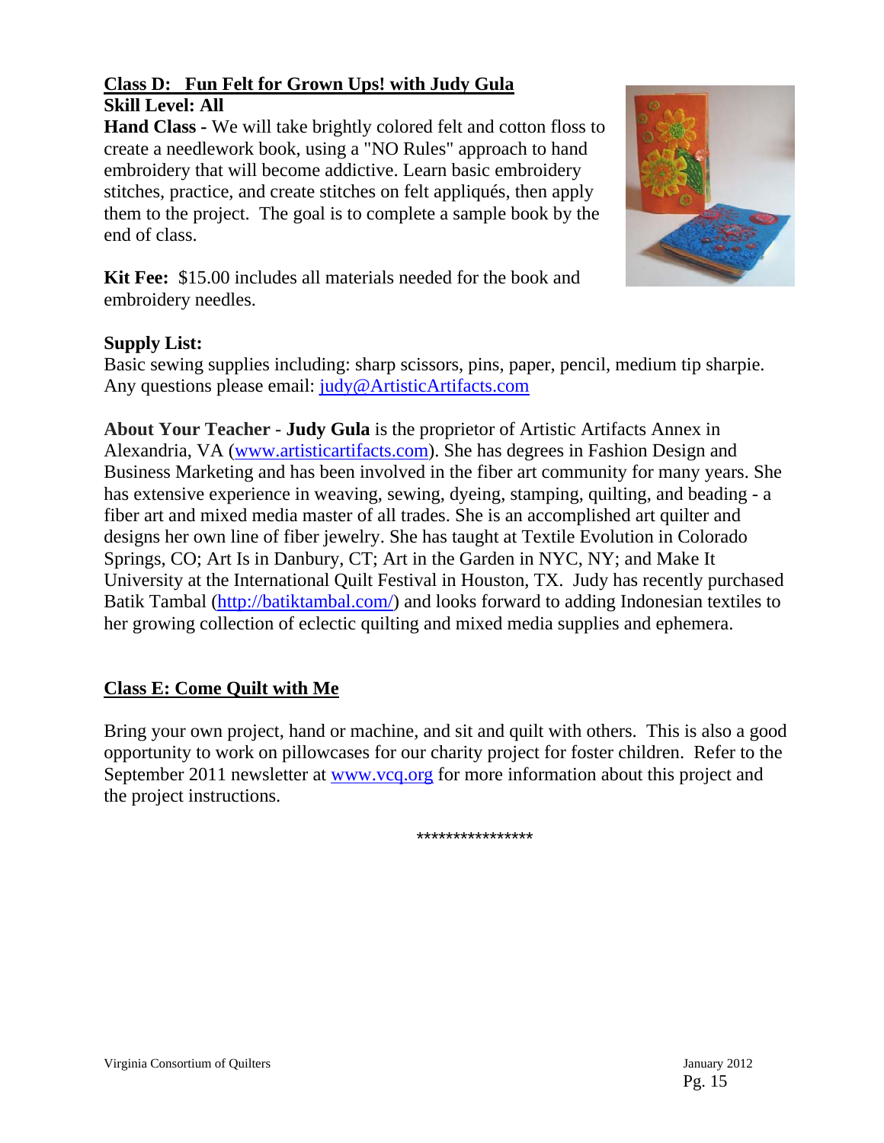## **Class D: Fun Felt for Grown Ups! with Judy Gula Skill Level: All**

**Hand Class -** We will take brightly colored felt and cotton floss to create a needlework book, using a "NO Rules" approach to hand embroidery that will become addictive. Learn basic embroidery stitches, practice, and create stitches on felt appliqués, then apply them to the project. The goal is to complete a sample book by the end of class.



**Kit Fee:** \$15.00 includes all materials needed for the book and embroidery needles.

## **Supply List:**

Basic sewing supplies including: sharp scissors, pins, paper, pencil, medium tip sharpie. Any questions please email: judy@ArtisticArtifacts.com

**About Your Teacher - Judy Gula** is the proprietor of Artistic Artifacts Annex in Alexandria, VA (www.artisticartifacts.com). She has degrees in Fashion Design and Business Marketing and has been involved in the fiber art community for many years. She has extensive experience in weaving, sewing, dyeing, stamping, quilting, and beading - a fiber art and mixed media master of all trades. She is an accomplished art quilter and designs her own line of fiber jewelry. She has taught at Textile Evolution in Colorado Springs, CO; Art Is in Danbury, CT; Art in the Garden in NYC, NY; and Make It University at the International Quilt Festival in Houston, TX. Judy has recently purchased Batik Tambal (http://batiktambal.com/) and looks forward to adding Indonesian textiles to her growing collection of eclectic quilting and mixed media supplies and ephemera.

## **Class E: Come Quilt with Me**

Bring your own project, hand or machine, and sit and quilt with others. This is also a good opportunity to work on pillowcases for our charity project for foster children. Refer to the September 2011 newsletter at www.vcq.org for more information about this project and the project instructions.

\*\*\*\*\*\*\*\*\*\*\*\*\*\*\*\*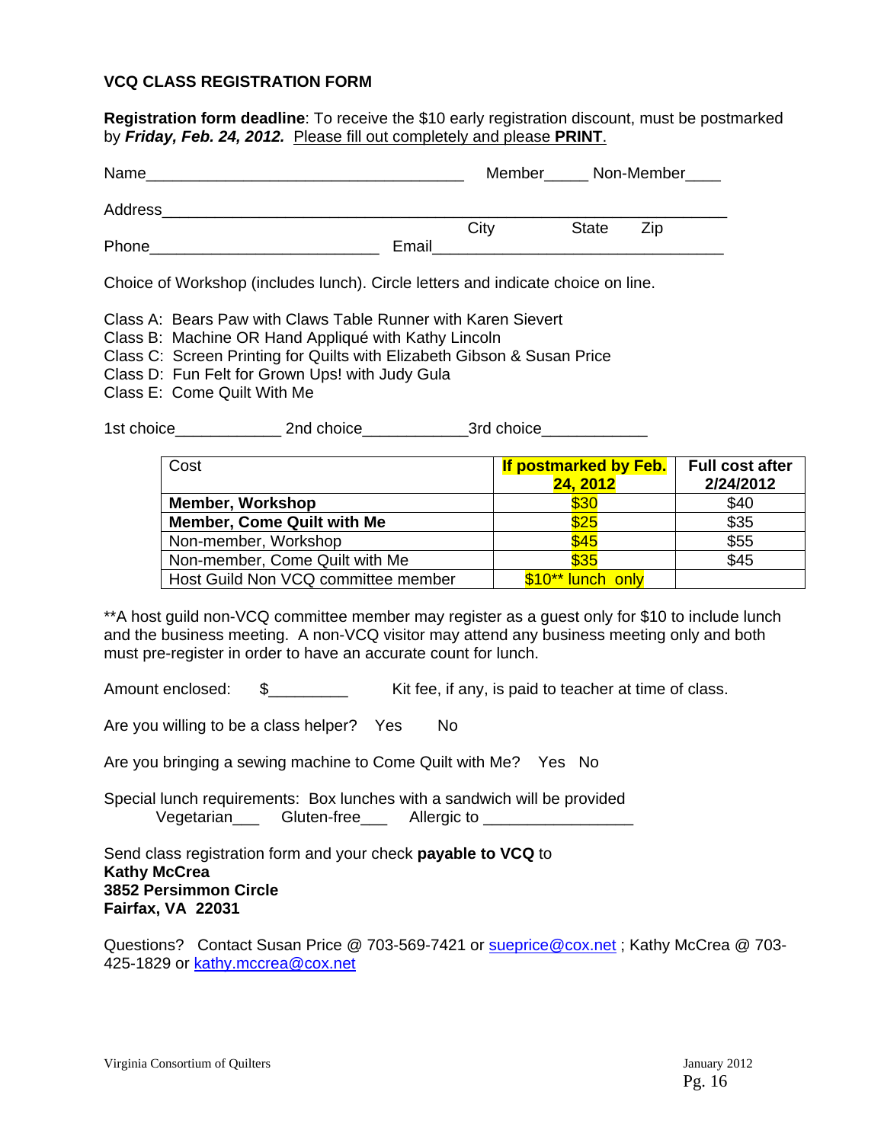#### **VCQ CLASS REGISTRATION FORM**

**Registration form deadline**: To receive the \$10 early registration discount, must be postmarked by *Friday, Feb. 24, 2012.* Please fill out completely and please **PRINT**.

| Name    |       | Member_ |              | Non-Member |
|---------|-------|---------|--------------|------------|
| Address |       |         |              |            |
|         |       | City    | <b>State</b> | Zip        |
| Phone   | Email |         |              |            |

Choice of Workshop (includes lunch). Circle letters and indicate choice on line.

Class A: Bears Paw with Claws Table Runner with Karen Sievert

- Class B: Machine OR Hand Appliqué with Kathy Lincoln
- Class C: Screen Printing for Quilts with Elizabeth Gibson & Susan Price
- Class D: Fun Felt for Grown Ups! with Judy Gula
- Class E: Come Quilt With Me

1st choice\_\_\_\_\_\_\_\_\_\_\_\_\_\_\_\_\_\_\_\_\_ 2nd choice\_\_\_\_\_\_\_\_\_\_\_\_\_\_\_\_\_\_\_\_\_3rd choice\_\_\_\_\_\_\_

| Cost                                | If postmarked by Feb.<br>24, 2012 | <b>Full cost after</b><br>2/24/2012 |
|-------------------------------------|-----------------------------------|-------------------------------------|
| <b>Member, Workshop</b>             | \$30                              | \$40                                |
| <b>Member, Come Quilt with Me</b>   | \$25                              | \$35                                |
| Non-member, Workshop                | \$45                              | \$55                                |
| Non-member, Come Quilt with Me      | \$35                              | \$45                                |
| Host Guild Non VCQ committee member | \$10** lunch only                 |                                     |

\*\*A host guild non-VCQ committee member may register as a guest only for \$10 to include lunch and the business meeting. A non-VCQ visitor may attend any business meeting only and both must pre-register in order to have an accurate count for lunch.

Amount enclosed:  $\quad \quad \text{\AA}$   $\quad \quad \text{with the same value of the original image.}$  Kit fee, if any, is paid to teacher at time of class.

Are you willing to be a class helper? Yes No

Are you bringing a sewing machine to Come Quilt with Me? Yes No

Special lunch requirements: Box lunches with a sandwich will be provided Vegetarian\_\_\_ Gluten-free\_\_\_ Allergic to \_\_\_\_\_\_\_\_\_

Send class registration form and your check **payable to VCQ** to **Kathy McCrea 3852 Persimmon Circle Fairfax, VA 22031** 

Questions? Contact Susan Price @ 703-569-7421 or sueprice @cox.net; Kathy McCrea @ 703-425-1829 or kathy.mccrea@cox.net